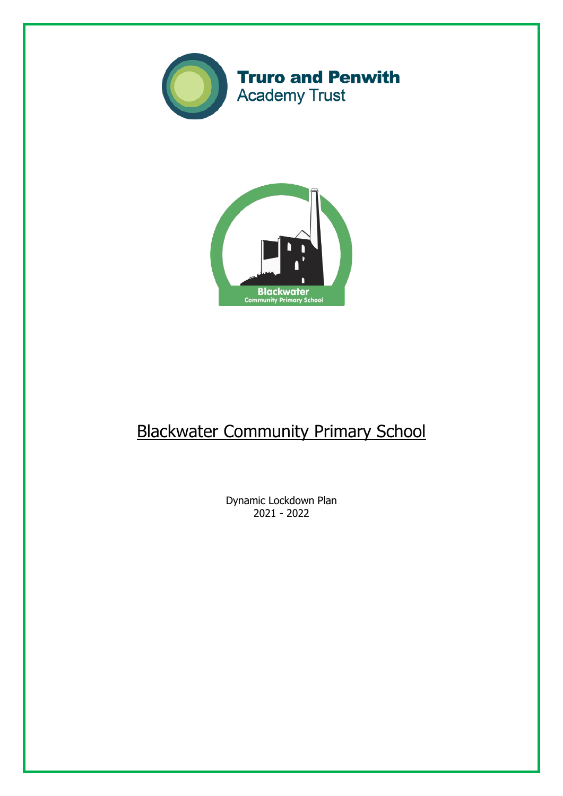



# Blackwater Community Primary School

Dynamic Lockdown Plan 2021 - 2022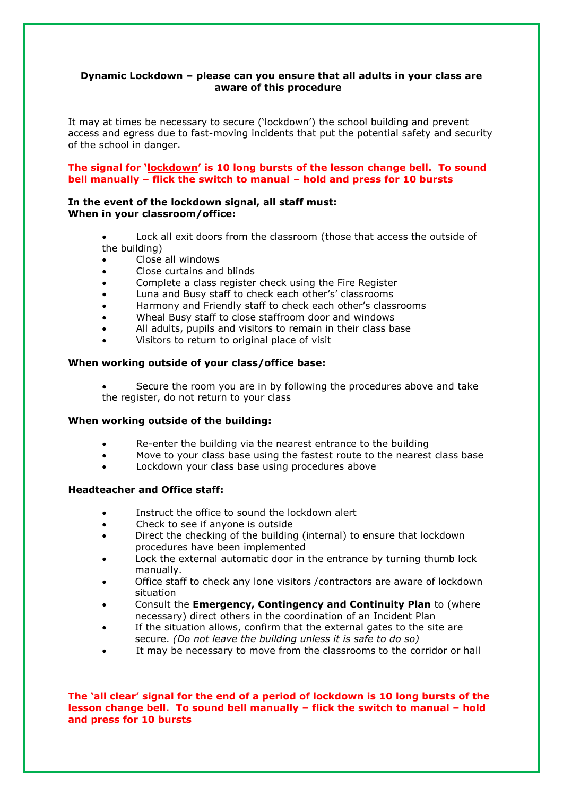## **Dynamic Lockdown – please can you ensure that all adults in your class are aware of this procedure**

It may at times be necessary to secure ('lockdown') the school building and prevent access and egress due to fast-moving incidents that put the potential safety and security of the school in danger.

## **The signal for 'lockdown' is 10 long bursts of the lesson change bell. To sound bell manually – flick the switch to manual – hold and press for 10 bursts**

## **In the event of the lockdown signal, all staff must: When in your classroom/office:**

- Lock all exit doors from the classroom (those that access the outside of the building)
- Close all windows
- Close curtains and blinds
- Complete a class register check using the Fire Register
- Luna and Busy staff to check each other's' classrooms
- Harmony and Friendly staff to check each other's classrooms
- Wheal Busy staff to close staffroom door and windows
- All adults, pupils and visitors to remain in their class base
- Visitors to return to original place of visit

# **When working outside of your class/office base:**

 Secure the room you are in by following the procedures above and take the register, do not return to your class

## **When working outside of the building:**

- Re-enter the building via the nearest entrance to the building
- Move to your class base using the fastest route to the nearest class base
- Lockdown your class base using procedures above

# **Headteacher and Office staff:**

- Instruct the office to sound the lockdown alert
- Check to see if anyone is outside
- Direct the checking of the building (internal) to ensure that lockdown procedures have been implemented
- Lock the external automatic door in the entrance by turning thumb lock manually.
- Office staff to check any lone visitors /contractors are aware of lockdown situation
- Consult the **Emergency, Contingency and Continuity Plan** to (where necessary) direct others in the coordination of an Incident Plan
- If the situation allows, confirm that the external gates to the site are secure. *(Do not leave the building unless it is safe to do so)*
- It may be necessary to move from the classrooms to the corridor or hall

**The 'all clear' signal for the end of a period of lockdown is 10 long bursts of the lesson change bell. To sound bell manually – flick the switch to manual – hold and press for 10 bursts**